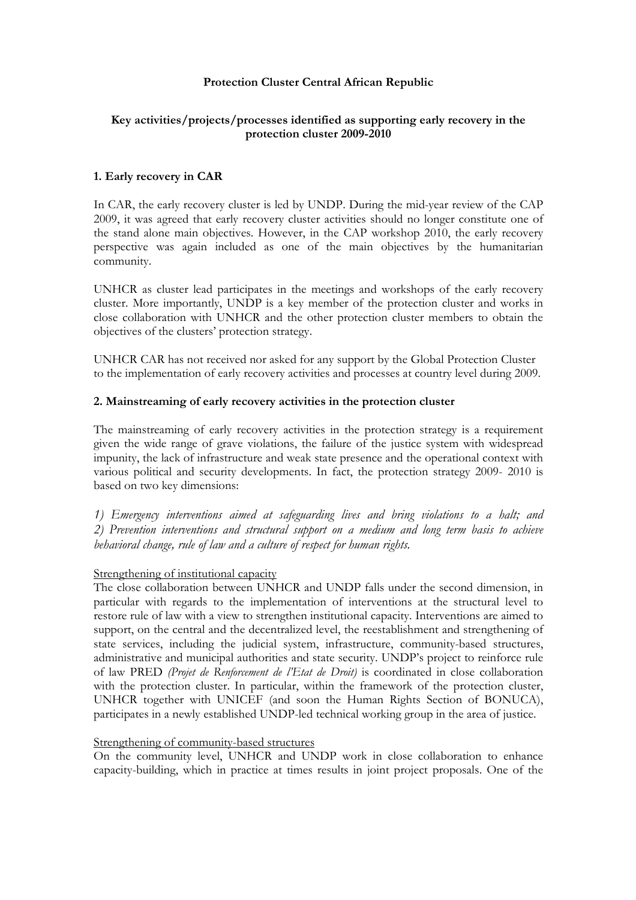# Protection Cluster Central African Republic

# Key activities/projects/processes identified as supporting early recovery in the protection cluster 2009-2010

## 1. Early recovery in CAR

In CAR, the early recovery cluster is led by UNDP. During the mid-year review of the CAP 2009, it was agreed that early recovery cluster activities should no longer constitute one of the stand alone main objectives. However, in the CAP workshop 2010, the early recovery perspective was again included as one of the main objectives by the humanitarian community.

UNHCR as cluster lead participates in the meetings and workshops of the early recovery cluster. More importantly, UNDP is a key member of the protection cluster and works in close collaboration with UNHCR and the other protection cluster members to obtain the objectives of the clusters' protection strategy.

UNHCR CAR has not received nor asked for any support by the Global Protection Cluster to the implementation of early recovery activities and processes at country level during 2009.

## 2. Mainstreaming of early recovery activities in the protection cluster

The mainstreaming of early recovery activities in the protection strategy is a requirement given the wide range of grave violations, the failure of the justice system with widespread impunity, the lack of infrastructure and weak state presence and the operational context with various political and security developments. In fact, the protection strategy 2009- 2010 is based on two key dimensions:

1) Emergency interventions aimed at safeguarding lives and bring violations to a halt; and 2) Prevention interventions and structural support on a medium and long term basis to achieve behavioral change, rule of law and a culture of respect for human rights.

### Strengthening of institutional capacity

The close collaboration between UNHCR and UNDP falls under the second dimension, in particular with regards to the implementation of interventions at the structural level to restore rule of law with a view to strengthen institutional capacity. Interventions are aimed to support, on the central and the decentralized level, the reestablishment and strengthening of state services, including the judicial system, infrastructure, community-based structures, administrative and municipal authorities and state security. UNDP's project to reinforce rule of law PRED (Projet de Renforcement de l'Etat de Droit) is coordinated in close collaboration with the protection cluster. In particular, within the framework of the protection cluster, UNHCR together with UNICEF (and soon the Human Rights Section of BONUCA), participates in a newly established UNDP-led technical working group in the area of justice.

### Strengthening of community-based structures

On the community level, UNHCR and UNDP work in close collaboration to enhance capacity-building, which in practice at times results in joint project proposals. One of the